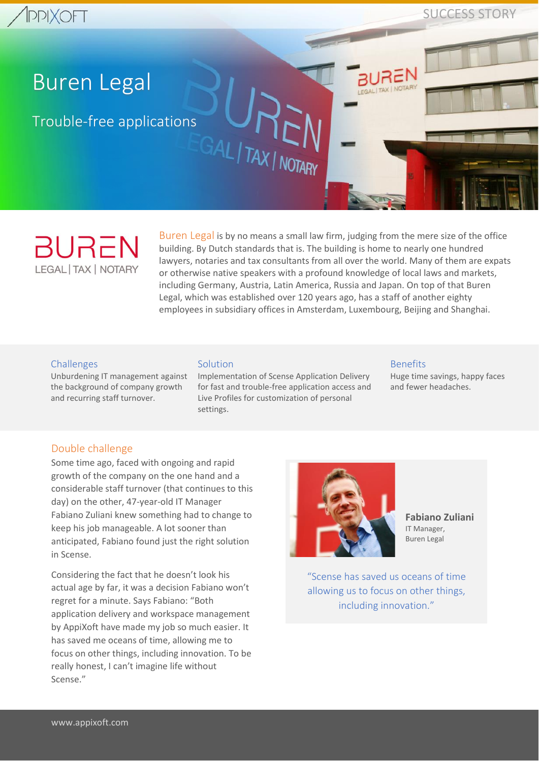SUCCESS STORY

# Buren Legal

Trouble-free applications

**BUREN LEGAL | TAX | NOTARY** 

Buren Legal is by no means a small law firm, judging from the mere size of the office building. By Dutch standards that is. The building is home to nearly one hundred lawyers, notaries and tax consultants from all over the world. Many of them are expats or otherwise native speakers with a profound knowledge of local laws and markets, including Germany, Austria, Latin America, Russia and Japan. On top of that Buren Legal, which was established over 120 years ago, has a staff of another eighty employees in subsidiary offices in Amsterdam, Luxembourg, Beijing and Shanghai.

#### **Challenges**

Unburdening IT management against the background of company growth and recurring staff turnover.

#### Solution

Implementation of Scense Application Delivery for fast and trouble-free application access and Live Profiles for customization of personal settings.

GAL TAX NOTARY

#### Benefits

Huge time savings, happy faces and fewer headaches.

## Double challenge

Some time ago, faced with ongoing and rapid growth of the company on the one hand and a considerable staff turnover (that continues to this day) on the other, 47-year-old IT Manager Fabiano Zuliani knew something had to change to keep his job manageable. A lot sooner than anticipated, Fabiano found just the right solution in Scense.

Considering the fact that he doesn't look his actual age by far, it was a decision Fabiano won't regret for a minute. Says Fabiano: "Both application delivery and workspace management by AppiXoft have made my job so much easier. It has saved me oceans of time, allowing me to focus on other things, including innovation. To be really honest, I can't imagine life without Scense."



**Fabiano Zuliani** IT Manager, Buren Legal

"Scense has saved us oceans of time allowing us to focus on other things, including innovation."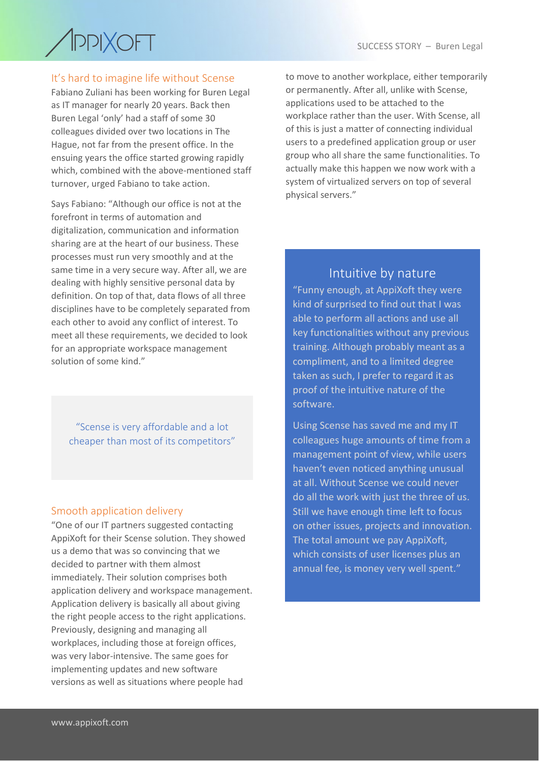

# It's hard to imagine life without Scense

Fabiano Zuliani has been working for Buren Legal as IT manager for nearly 20 years. Back then Buren Legal 'only' had a staff of some 30 colleagues divided over two locations in The Hague, not far from the present office. In the ensuing years the office started growing rapidly which, combined with the above-mentioned staff turnover, urged Fabiano to take action.

Says Fabiano: "Although our office is not at the forefront in terms of automation and digitalization, communication and information sharing are at the heart of our business. These processes must run very smoothly and at the same time in a very secure way. After all, we are dealing with highly sensitive personal data by definition. On top of that, data flows of all three disciplines have to be completely separated from each other to avoid any conflict of interest. To meet all these requirements, we decided to look for an appropriate workspace management solution of some kind."

"Scense is very affordable and a lot cheaper than most of its competitors"

## Smooth application delivery

"One of our IT partners suggested contacting AppiXoft for their Scense solution. They showed us a demo that was so convincing that we decided to partner with them almost immediately. Their solution comprises both application delivery and workspace management. Application delivery is basically all about giving the right people access to the right applications. Previously, designing and managing all workplaces, including those at foreign offices, was very labor-intensive. The same goes for implementing updates and new software versions as well as situations where people had

to move to another workplace, either temporarily or permanently. After all, unlike with Scense, applications used to be attached to the workplace rather than the user. With Scense, all of this is just a matter of connecting individual users to a predefined application group or user group who all share the same functionalities. To actually make this happen we now work with a system of virtualized servers on top of several physical servers."

# Intuitive by nature

"Funny enough, at AppiXoft they were kind of surprised to find out that I was able to perform all actions and use all key functionalities without any previous training. Although probably meant as a compliment, and to a limited degree taken as such, I prefer to regard it as proof of the intuitive nature of the software.

Using Scense has saved me and my IT colleagues huge amounts of time from a management point of view, while users haven't even noticed anything unusual at all. Without Scense we could never do all the work with just the three of us. Still we have enough time left to focus on other issues, projects and innovation. The total amount we pay AppiXoft, which consists of user licenses plus an annual fee, is money very well spent."